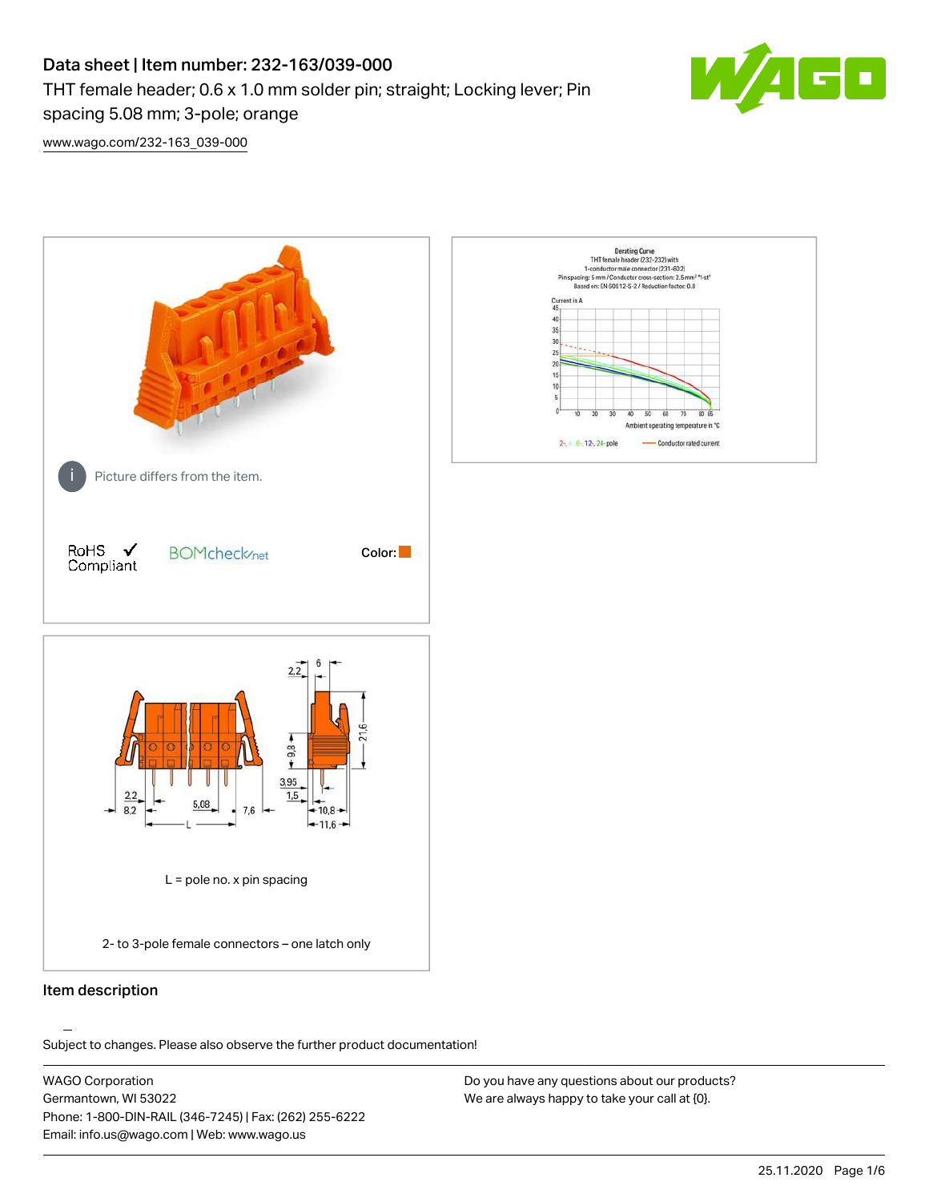# Data sheet | Item number: 232-163/039-000 THT female header; 0.6 x 1.0 mm solder pin; straight; Locking lever; Pin spacing 5.08 mm; 3-pole; orange



[www.wago.com/232-163\\_039-000](http://www.wago.com/232-163_039-000)



## Item description

.<br>Subject to changes. Please also observe the further product documentation!

WAGO Corporation Germantown, WI 53022 Phone: 1-800-DIN-RAIL (346-7245) | Fax: (262) 255-6222 Email: info.us@wago.com | Web: www.wago.us

Do you have any questions about our products? We are always happy to take your call at {0}.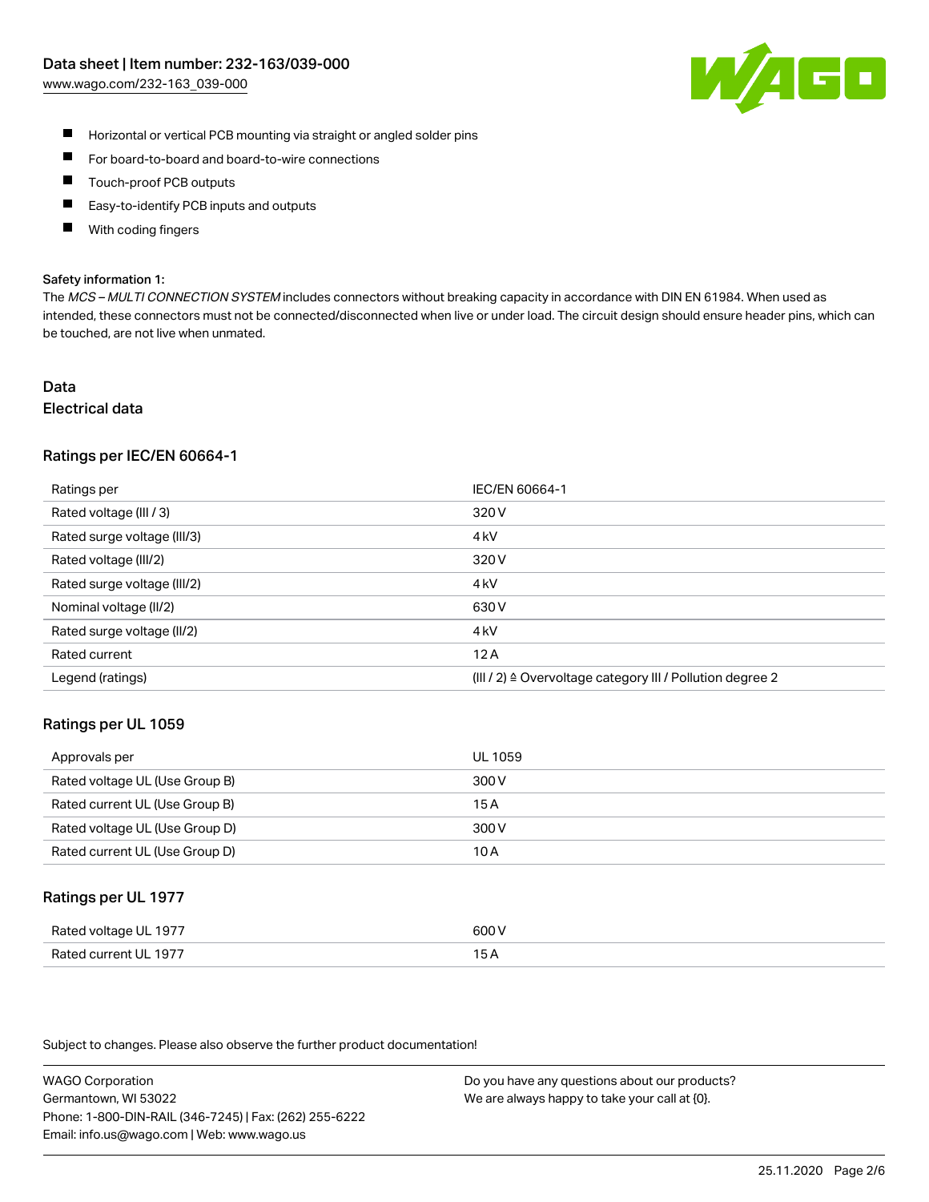

- **Horizontal or vertical PCB mounting via straight or angled solder pins**
- $\blacksquare$ For board-to-board and board-to-wire connections
- Touch-proof PCB outputs  $\blacksquare$
- П Easy-to-identify PCB inputs and outputs
- П With coding fingers

#### Safety information 1:

The MCS - MULTI CONNECTION SYSTEM includes connectors without breaking capacity in accordance with DIN EN 61984. When used as intended, these connectors must not be connected/disconnected when live or under load. The circuit design should ensure header pins, which can be touched, are not live when unmated.

## Data Electrical data

Ratings per IEC/EN 60664-1

| Ratings per                 | IEC/EN 60664-1                                            |
|-----------------------------|-----------------------------------------------------------|
| Rated voltage (III / 3)     | 320 V                                                     |
| Rated surge voltage (III/3) | 4 <sub>k</sub> V                                          |
| Rated voltage (III/2)       | 320 V                                                     |
| Rated surge voltage (III/2) | 4 <sub>k</sub> V                                          |
| Nominal voltage (II/2)      | 630 V                                                     |
| Rated surge voltage (II/2)  | 4 <sub>k</sub> V                                          |
| Rated current               | 12A                                                       |
| Legend (ratings)            | (III / 2) ≙ Overvoltage category III / Pollution degree 2 |

## Ratings per UL 1059

| Approvals per                  | UL 1059 |
|--------------------------------|---------|
| Rated voltage UL (Use Group B) | 300 V   |
| Rated current UL (Use Group B) | 15 A    |
| Rated voltage UL (Use Group D) | 300 V   |
| Rated current UL (Use Group D) | 10 A    |

## Ratings per UL 1977

| Rated voltage UL 1977 | 600 V |
|-----------------------|-------|
| Rated current UL 1977 | ، ب   |

Subject to changes. Please also observe the further product documentation!

WAGO Corporation Germantown, WI 53022 Phone: 1-800-DIN-RAIL (346-7245) | Fax: (262) 255-6222 Email: info.us@wago.com | Web: www.wago.us

Do you have any questions about our products? We are always happy to take your call at {0}.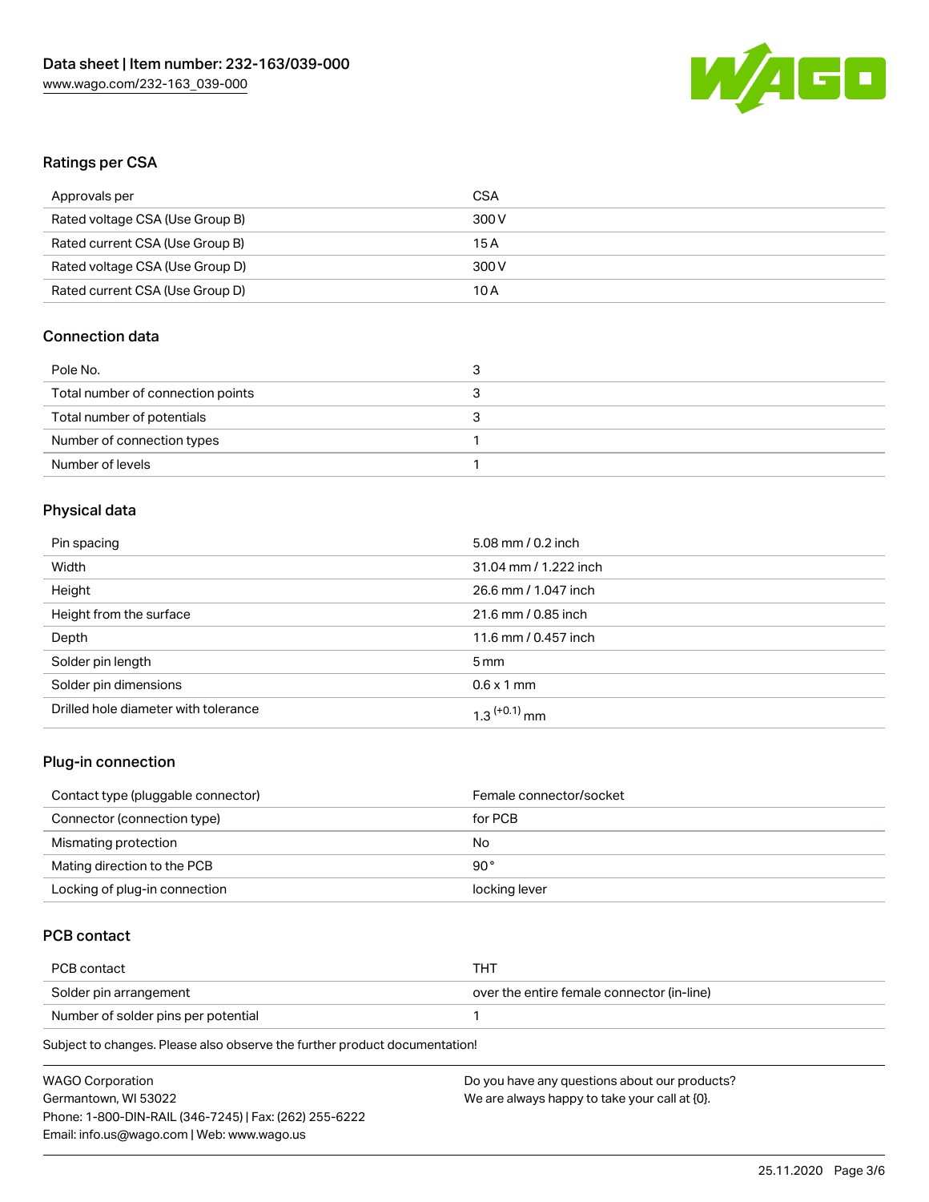

## Ratings per CSA

| Approvals per                   | CSA   |
|---------------------------------|-------|
| Rated voltage CSA (Use Group B) | 300 V |
| Rated current CSA (Use Group B) | 15 A  |
| Rated voltage CSA (Use Group D) | 300 V |
| Rated current CSA (Use Group D) | 10 A  |

## Connection data

| Pole No.                          | w |
|-----------------------------------|---|
| Total number of connection points |   |
| Total number of potentials        |   |
| Number of connection types        |   |
| Number of levels                  |   |

## Physical data

| Pin spacing                          | 5.08 mm / 0.2 inch         |
|--------------------------------------|----------------------------|
| Width                                | 31.04 mm / 1.222 inch      |
| Height                               | 26.6 mm / 1.047 inch       |
| Height from the surface              | 21.6 mm / 0.85 inch        |
| Depth                                | 11.6 mm / 0.457 inch       |
| Solder pin length                    | 5 <sub>mm</sub>            |
| Solder pin dimensions                | $0.6 \times 1$ mm          |
| Drilled hole diameter with tolerance | $1.3$ <sup>(+0.1)</sup> mm |

## Plug-in connection

| Contact type (pluggable connector) | Female connector/socket |
|------------------------------------|-------------------------|
| Connector (connection type)        | for PCB                 |
| Mismating protection               | No                      |
| Mating direction to the PCB        | 90 $^{\circ}$           |
| Locking of plug-in connection      | locking lever           |

## PCB contact

| PCB contact                         | THT                                        |
|-------------------------------------|--------------------------------------------|
| Solder pin arrangement              | over the entire female connector (in-line) |
| Number of solder pins per potential |                                            |

Subject to changes. Please also observe the further product documentation!

| <b>WAGO Corporation</b>                                | Do you have any questions about our products? |
|--------------------------------------------------------|-----------------------------------------------|
| Germantown, WI 53022                                   | We are always happy to take your call at {0}. |
| Phone: 1-800-DIN-RAIL (346-7245)   Fax: (262) 255-6222 |                                               |
| Email: info.us@wago.com   Web: www.wago.us             |                                               |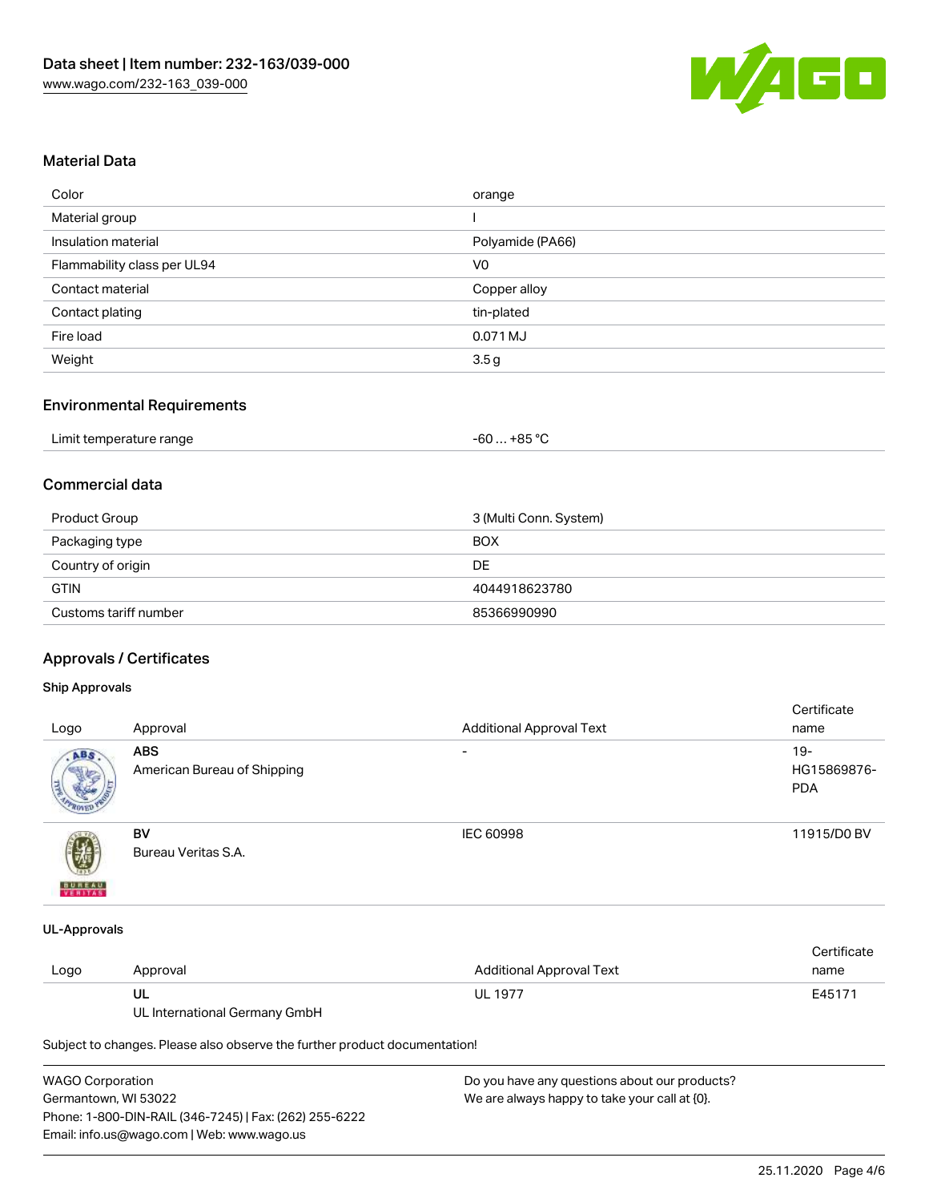

## Material Data

| Color                       | orange           |
|-----------------------------|------------------|
| Material group              |                  |
| Insulation material         | Polyamide (PA66) |
| Flammability class per UL94 | V <sub>0</sub>   |
| Contact material            | Copper alloy     |
| Contact plating             | tin-plated       |
| Fire load                   | 0.071 MJ         |
| Weight                      | 3.5g             |

## Environmental Requirements

| Limit temperature range | $-60+85 °C$ |
|-------------------------|-------------|
|-------------------------|-------------|

## Commercial data

| Product Group         | 3 (Multi Conn. System) |
|-----------------------|------------------------|
| Packaging type        | <b>BOX</b>             |
| Country of origin     | DE                     |
| <b>GTIN</b>           | 4044918623780          |
| Customs tariff number | 85366990990            |

## Approvals / Certificates

## Ship Approvals

| Logo          | Approval                                  | <b>Additional Approval Text</b> | Certificate<br>name                |
|---------------|-------------------------------------------|---------------------------------|------------------------------------|
| ABS           | <b>ABS</b><br>American Bureau of Shipping | $\overline{\phantom{0}}$        | $19-$<br>HG15869876-<br><b>PDA</b> |
| <b>BUREAU</b> | BV<br>Bureau Veritas S.A.                 | IEC 60998                       | 11915/D0 BV                        |

#### UL-Approvals

|      |          |                          | Certificate |
|------|----------|--------------------------|-------------|
| Logo | Approval | Additional Approval Text | name        |
|      | UL       | <b>UL 1977</b>           | E45171      |

UL International Germany GmbH

Subject to changes. Please also observe the further product documentation!

| WAGO Corporation                                       | Do you have any questions about our products? |  |  |  |
|--------------------------------------------------------|-----------------------------------------------|--|--|--|
| Germantown. WI 53022                                   | We are always happy to take your call at {0}. |  |  |  |
| Phone: 1-800-DIN-RAIL (346-7245)   Fax: (262) 255-6222 |                                               |  |  |  |
| Email: info.us@wago.com   Web: www.wago.us             |                                               |  |  |  |
|                                                        |                                               |  |  |  |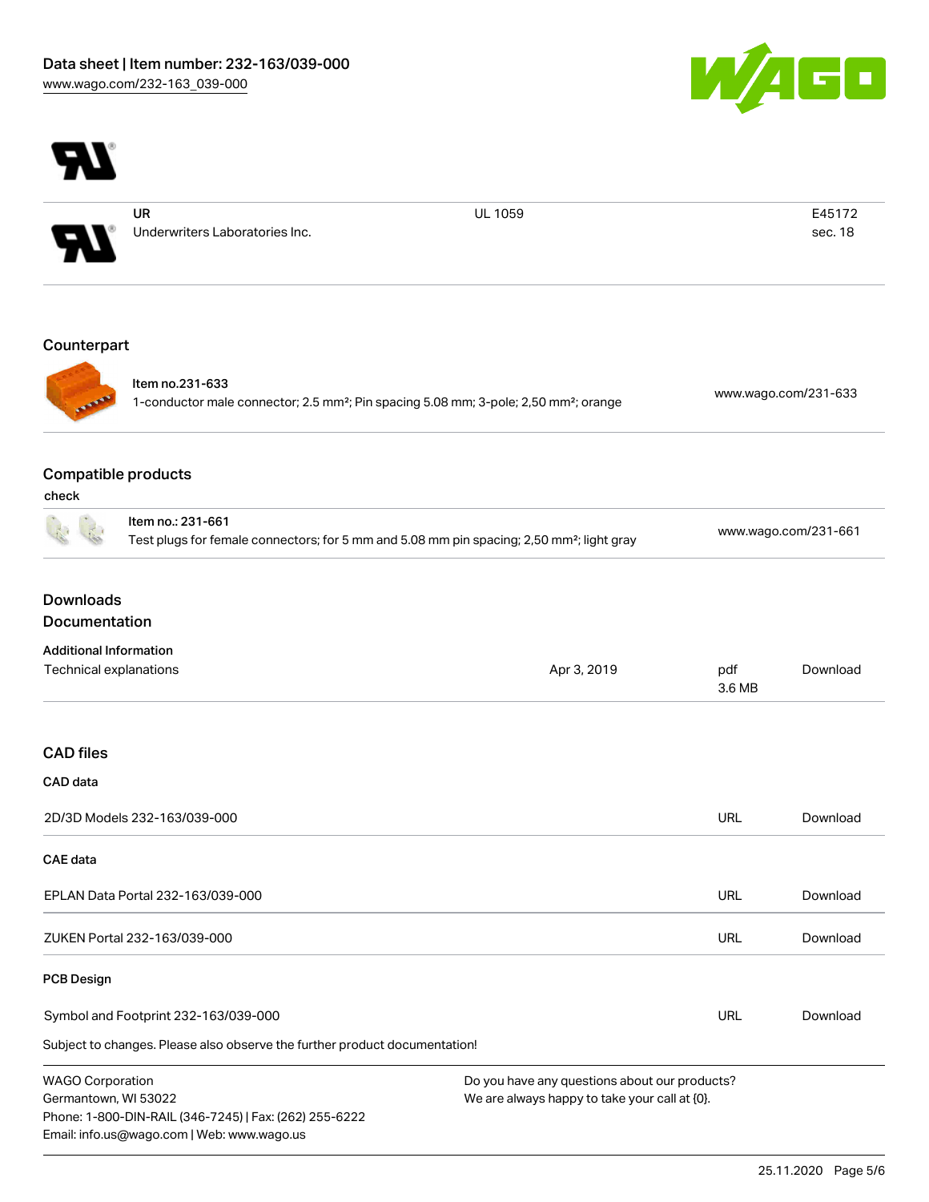